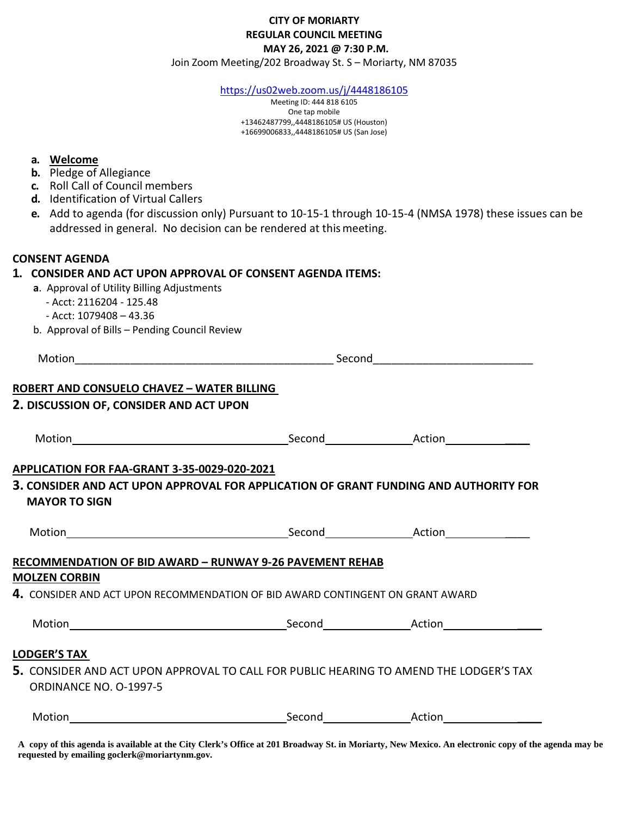## **CITY OF MORIARTY REGULAR COUNCIL MEETING MAY 26, 2021 @ 7:30 P.M.**

Join Zoom Meeting/202 Broadway St. S – Moriarty, NM 87035

<https://us02web.zoom.us/j/4448186105>

Meeting ID: 444 818 6105 One tap mobile +13462487799,,4448186105# US (Houston) +16699006833,,4448186105# US (San Jose)

| а. |  | Welcome |
|----|--|---------|
|    |  |         |

- **b.** Pledge of Allegiance
- **c.** Roll Call of Council members
- **d.** Identification of Virtual Callers
- **e.** Add to agenda (for discussion only) Pursuant to 10-15-1 through 10-15-4 (NMSA 1978) these issues can be addressed in general. No decision can be rendered at thismeeting.

## **CONSENT AGENDA**

## **1. CONSIDER AND ACT UPON APPROVAL OF CONSENT AGENDA ITEMS:**

- **a**. Approval of Utility Billing Adjustments
	- Acct: 2116204 125.48
	- Acct: 1079408 43.36
	- b. Approval of Bills Pending Council Review

| <b>ROBERT AND CONSUELO CHAVEZ - WATER BILLING</b>                                                                |  |  |  |
|------------------------------------------------------------------------------------------------------------------|--|--|--|
| 2. DISCUSSION OF, CONSIDER AND ACT UPON                                                                          |  |  |  |
|                                                                                                                  |  |  |  |
| APPLICATION FOR FAA-GRANT 3-35-0029-020-2021                                                                     |  |  |  |
| 3. CONSIDER AND ACT UPON APPROVAL FOR APPLICATION OF GRANT FUNDING AND AUTHORITY FOR<br><b>MAYOR TO SIGN</b>     |  |  |  |
|                                                                                                                  |  |  |  |
| <b>RECOMMENDATION OF BID AWARD - RUNWAY 9-26 PAVEMENT REHAB</b>                                                  |  |  |  |
| <b>MOLZEN CORBIN</b>                                                                                             |  |  |  |
| 4. CONSIDER AND ACT UPON RECOMMENDATION OF BID AWARD CONTINGENT ON GRANT AWARD                                   |  |  |  |
|                                                                                                                  |  |  |  |
| <b>LODGER'S TAX</b>                                                                                              |  |  |  |
| 5. CONSIDER AND ACT UPON APPROVAL TO CALL FOR PUBLIC HEARING TO AMEND THE LODGER'S TAX<br>ORDINANCE NO. 0-1997-5 |  |  |  |
| Motion                                                                                                           |  |  |  |

**A copy of this agenda is available at the City Clerk's Office at 201 Broadway St. in Moriarty, New Mexico. An electronic copy of the agenda may be requested by emailing goclerk@moriartynm.gov.**